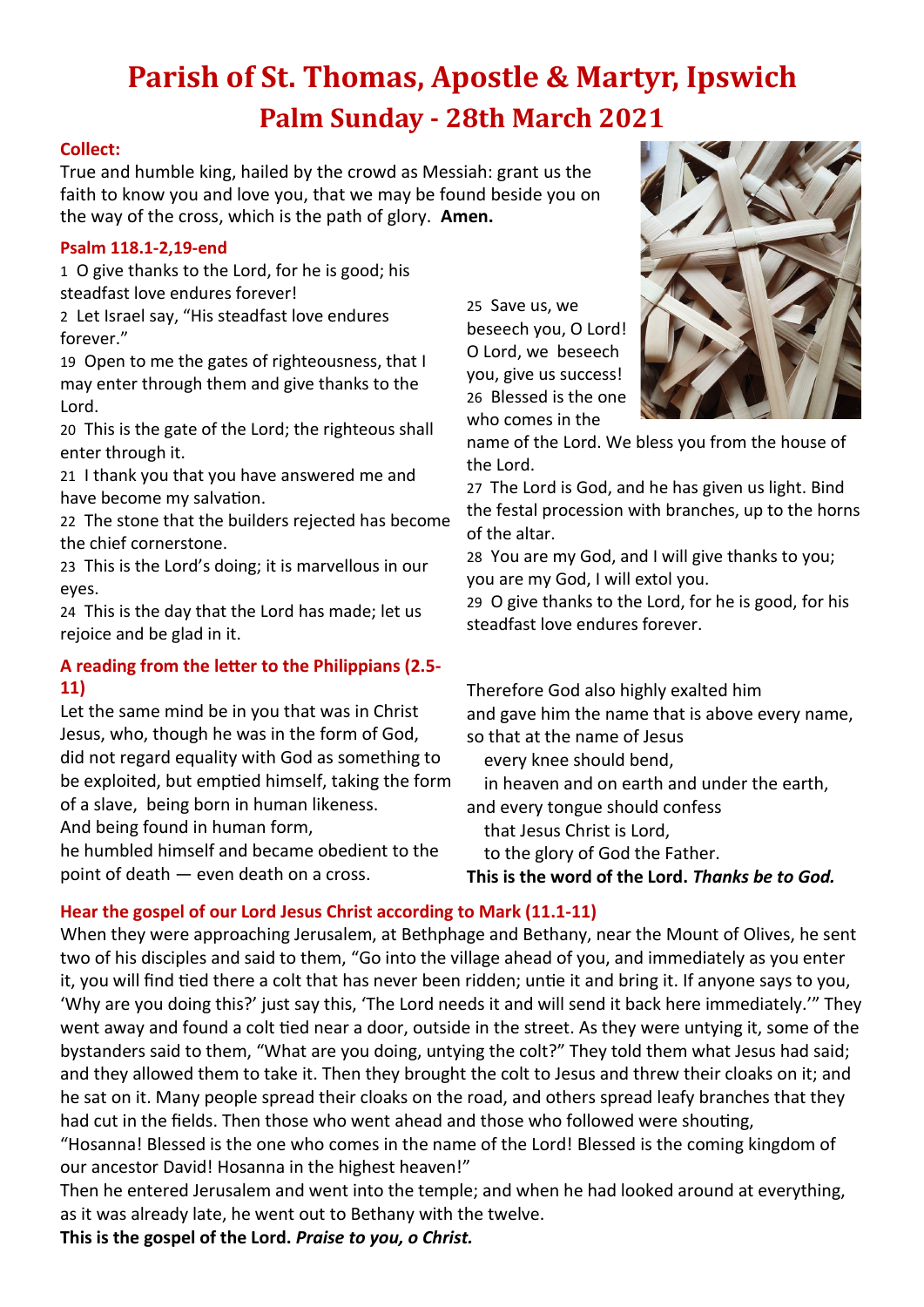# **Parish of St. Thomas, Apostle & Martyr, Ipswich Palm Sunday - 28th March 2021**

# **Collect:**

True and humble king, hailed by the crowd as Messiah: grant us the faith to know you and love you, that we may be found beside you on the way of the cross, which is the path of glory. **Amen.**

# **Psalm 118.1-2,19-end**

1 O give thanks to the Lord, for he is good; his steadfast love endures forever!

2 Let Israel say, "His steadfast love endures forever."

19 Open to me the gates of righteousness, that I may enter through them and give thanks to the Lord.

20 This is the gate of the Lord; the righteous shall enter through it.

21 I thank you that you have answered me and have become my salvation.

22 The stone that the builders rejected has become the chief cornerstone.

23 This is the Lord's doing; it is marvellous in our eyes.

24 This is the day that the Lord has made; let us rejoice and be glad in it.

# **A reading from the letter to the Philippians (2.5- 11)**

Let the same mind be in you that was in Christ Jesus, who, though he was in the form of God, did not regard equality with God as something to be exploited, but emptied himself, taking the form of a slave, being born in human likeness. And being found in human form, he humbled himself and became obedient to the

point of death — even death on a cross.

25 Save us, we beseech you, O Lord! O Lord, we beseech you, give us success! 26 Blessed is the one who comes in the



name of the Lord. We bless you from the house of the Lord.

27 The Lord is God, and he has given us light. Bind the festal procession with branches, up to the horns of the altar.

28 You are my God, and I will give thanks to you; you are my God, I will extol you.

29 O give thanks to the Lord, for he is good, for his steadfast love endures forever.

Therefore God also highly exalted him and gave him the name that is above every name, so that at the name of Jesus every knee should bend, in heaven and on earth and under the earth, and every tongue should confess that Jesus Christ is Lord, to the glory of God the Father. **This is the word of the Lord.** *Thanks be to God.*

# **Hear the gospel of our Lord Jesus Christ according to Mark (11.1-11)**

When they were approaching Jerusalem, at Bethphage and Bethany, near the Mount of Olives, he sent two of his disciples and said to them, "Go into the village ahead of you, and immediately as you enter it, you will find tied there a colt that has never been ridden; untie it and bring it. If anyone says to you, 'Why are you doing this?' just say this, 'The Lord needs it and will send it back here immediately.'" They went away and found a colt tied near a door, outside in the street. As they were untying it, some of the bystanders said to them, "What are you doing, untying the colt?" They told them what Jesus had said; and they allowed them to take it. Then they brought the colt to Jesus and threw their cloaks on it; and he sat on it. Many people spread their cloaks on the road, and others spread leafy branches that they had cut in the fields. Then those who went ahead and those who followed were shouting,

"Hosanna! Blessed is the one who comes in the name of the Lord! Blessed is the coming kingdom of our ancestor David! Hosanna in the highest heaven!"

Then he entered Jerusalem and went into the temple; and when he had looked around at everything, as it was already late, he went out to Bethany with the twelve.

**This is the gospel of the Lord.** *Praise to you, o Christ.*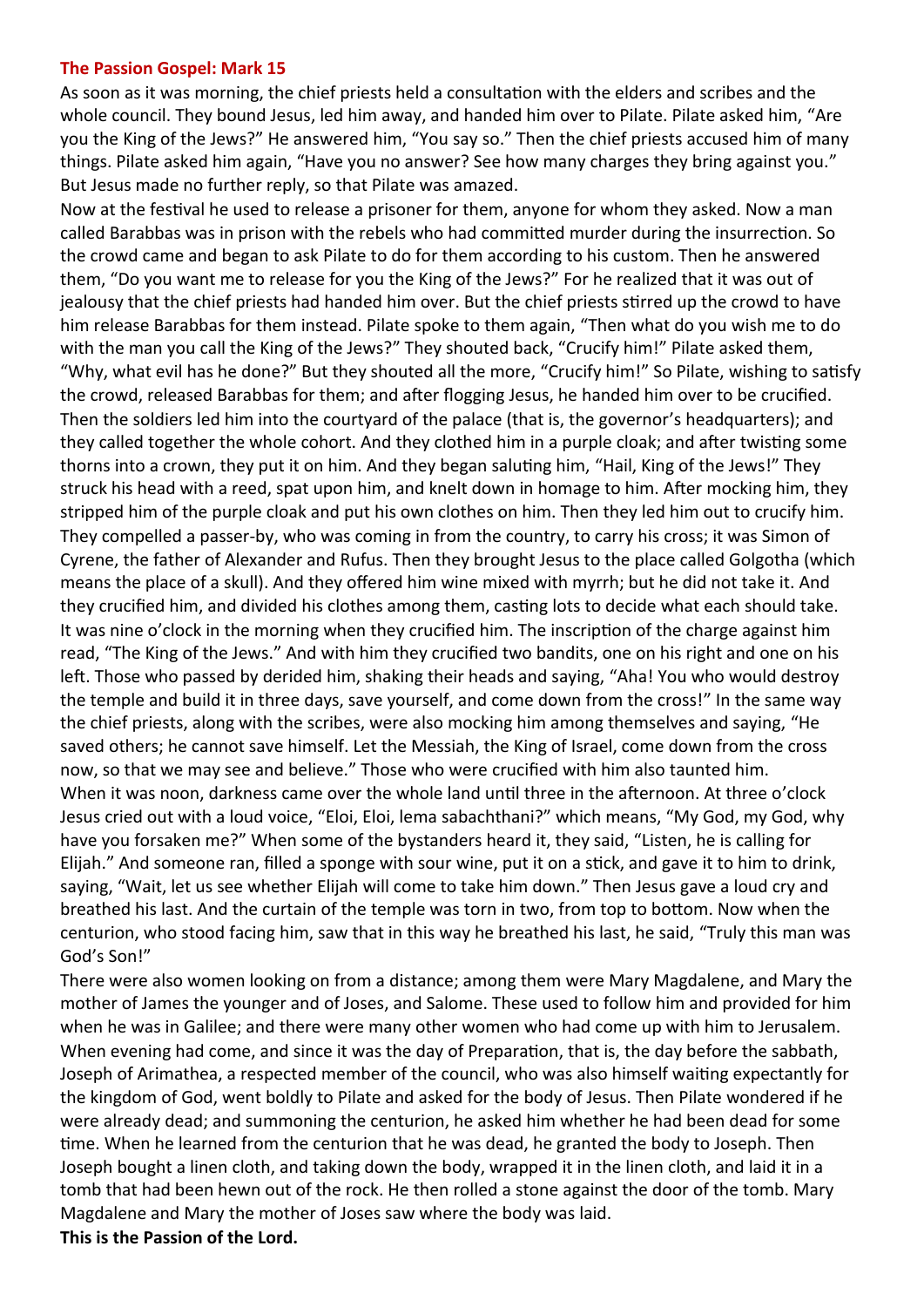#### **The Passion Gospel: Mark 15**

As soon as it was morning, the chief priests held a consultation with the elders and scribes and the whole council. They bound Jesus, led him away, and handed him over to Pilate. Pilate asked him, "Are you the King of the Jews?" He answered him, "You say so." Then the chief priests accused him of many things. Pilate asked him again, "Have you no answer? See how many charges they bring against you." But Jesus made no further reply, so that Pilate was amazed.

Now at the festival he used to release a prisoner for them, anyone for whom they asked. Now a man called Barabbas was in prison with the rebels who had committed murder during the insurrection. So the crowd came and began to ask Pilate to do for them according to his custom. Then he answered them, "Do you want me to release for you the King of the Jews?" For he realized that it was out of jealousy that the chief priests had handed him over. But the chief priests stirred up the crowd to have him release Barabbas for them instead. Pilate spoke to them again, "Then what do you wish me to do with the man you call the King of the Jews?" They shouted back, "Crucify him!" Pilate asked them, "Why, what evil has he done?" But they shouted all the more, "Crucify him!" So Pilate, wishing to satisfy the crowd, released Barabbas for them; and after flogging Jesus, he handed him over to be crucified. Then the soldiers led him into the courtyard of the palace (that is, the governor's headquarters); and they called together the whole cohort. And they clothed him in a purple cloak; and after twisting some thorns into a crown, they put it on him. And they began saluting him, "Hail, King of the Jews!" They struck his head with a reed, spat upon him, and knelt down in homage to him. After mocking him, they stripped him of the purple cloak and put his own clothes on him. Then they led him out to crucify him. They compelled a passer-by, who was coming in from the country, to carry his cross; it was Simon of Cyrene, the father of Alexander and Rufus. Then they brought Jesus to the place called Golgotha (which means the place of a skull). And they offered him wine mixed with myrrh; but he did not take it. And they crucified him, and divided his clothes among them, casting lots to decide what each should take. It was nine o'clock in the morning when they crucified him. The inscription of the charge against him read, "The King of the Jews." And with him they crucified two bandits, one on his right and one on his left. Those who passed by derided him, shaking their heads and saying, "Aha! You who would destroy the temple and build it in three days, save yourself, and come down from the cross!" In the same way the chief priests, along with the scribes, were also mocking him among themselves and saying, "He saved others; he cannot save himself. Let the Messiah, the King of Israel, come down from the cross now, so that we may see and believe." Those who were crucified with him also taunted him. When it was noon, darkness came over the whole land until three in the afternoon. At three o'clock Jesus cried out with a loud voice, "Eloi, Eloi, lema sabachthani?" which means, "My God, my God, why have you forsaken me?" When some of the bystanders heard it, they said, "Listen, he is calling for Elijah." And someone ran, filled a sponge with sour wine, put it on a stick, and gave it to him to drink, saying, "Wait, let us see whether Elijah will come to take him down." Then Jesus gave a loud cry and breathed his last. And the curtain of the temple was torn in two, from top to bottom. Now when the centurion, who stood facing him, saw that in this way he breathed his last, he said, "Truly this man was God's Son!"

There were also women looking on from a distance; among them were Mary Magdalene, and Mary the mother of James the younger and of Joses, and Salome. These used to follow him and provided for him when he was in Galilee; and there were many other women who had come up with him to Jerusalem. When evening had come, and since it was the day of Preparation, that is, the day before the sabbath, Joseph of Arimathea, a respected member of the council, who was also himself waiting expectantly for the kingdom of God, went boldly to Pilate and asked for the body of Jesus. Then Pilate wondered if he were already dead; and summoning the centurion, he asked him whether he had been dead for some time. When he learned from the centurion that he was dead, he granted the body to Joseph. Then Joseph bought a linen cloth, and taking down the body, wrapped it in the linen cloth, and laid it in a tomb that had been hewn out of the rock. He then rolled a stone against the door of the tomb. Mary Magdalene and Mary the mother of Joses saw where the body was laid.

**This is the Passion of the Lord.**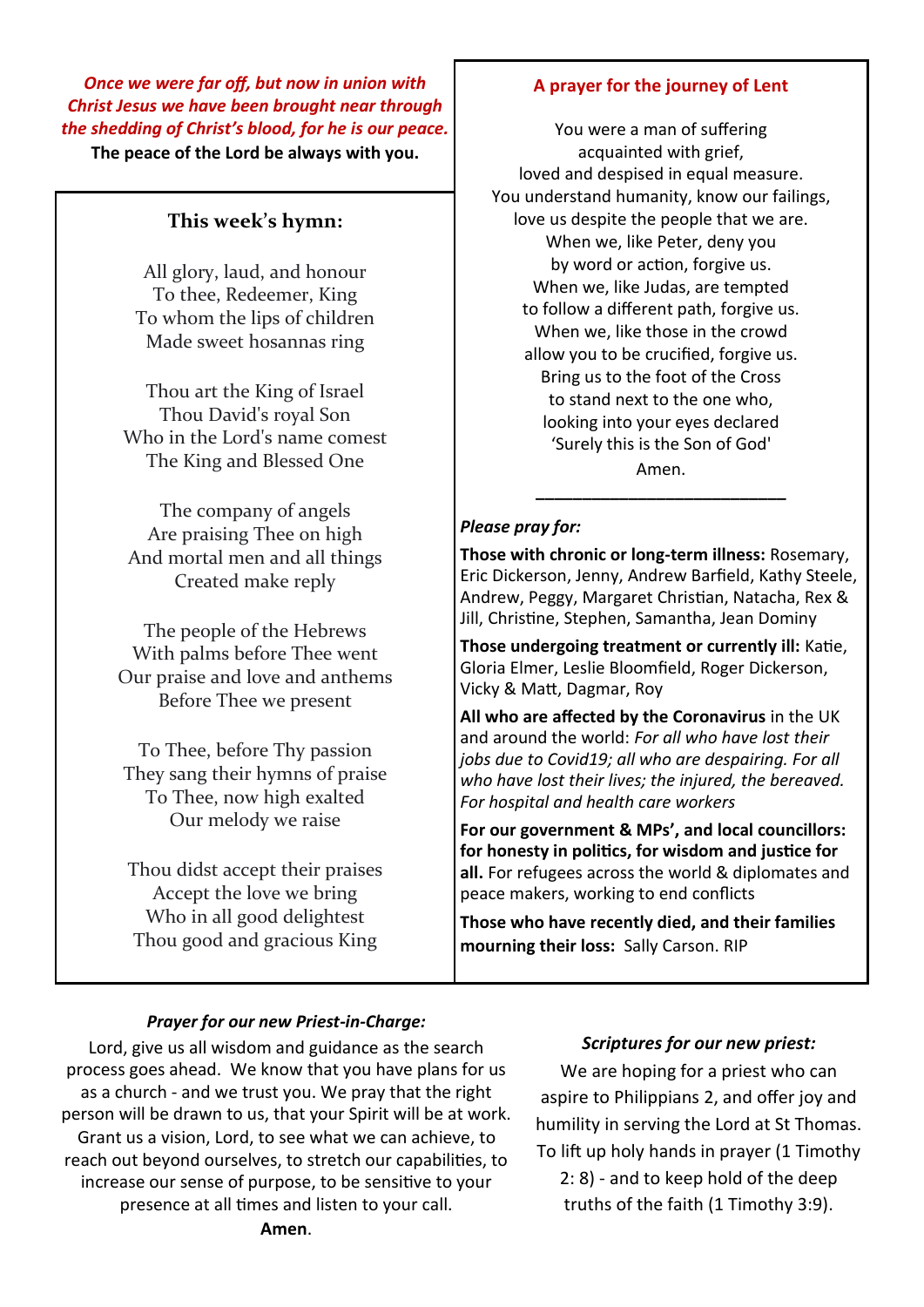*Once we were far off, but now in union with Christ Jesus we have been brought near through the shedding of Christ's blood, for he is our peace.*  **The peace of the Lord be always with you.**

**This week's hymn:**

All glory, laud, and honour To thee, Redeemer, King To whom the lips of children Made sweet hosannas ring

Thou art the King of Israel Thou David's royal Son Who in the Lord's name comest The King and Blessed One

The company of angels Are praising Thee on high And mortal men and all things Created make reply

The people of the Hebrews With palms before Thee went Our praise and love and anthems Before Thee we present

To Thee, before Thy passion They sang their hymns of praise To Thee, now high exalted Our melody we raise

Thou didst accept their praises Accept the love we bring Who in all good delightest Thou good and gracious King

# **A prayer for the journey of Lent**

You were a man of suffering acquainted with grief, loved and despised in equal measure. You understand humanity, know our failings, love us despite the people that we are. When we, like Peter, deny you by word or action, forgive us. When we, like Judas, are tempted to follow a different path, forgive us. When we, like those in the crowd allow you to be crucified, forgive us. Bring us to the foot of the Cross to stand next to the one who, looking into your eyes declared 'Surely this is the Son of God' Amen. **\_\_\_\_\_\_\_\_\_\_\_\_\_\_\_\_\_\_\_\_\_\_\_\_\_\_\_**

## *Please pray for:*

**Those with chronic or long-term illness:** Rosemary, Eric Dickerson, Jenny, Andrew Barfield, Kathy Steele, Andrew, Peggy, Margaret Christian, Natacha, Rex & Jill, Christine, Stephen, Samantha, Jean Dominy

**Those undergoing treatment or currently ill:** Katie, Gloria Elmer, Leslie Bloomfield, Roger Dickerson, Vicky & Matt, Dagmar, Roy

**All who are affected by the Coronavirus** in the UK and around the world: *For all who have lost their jobs due to Covid19; all who are despairing. For all who have lost their lives; the injured, the bereaved. For hospital and health care workers*

**For our government & MPs', and local councillors: for honesty in politics, for wisdom and justice for all.** For refugees across the world & diplomates and peace makers, working to end conflicts

**Those who have recently died, and their families mourning their loss:** Sally Carson. RIP

## *Prayer for our new Priest-in-Charge:*

Lord, give us all wisdom and guidance as the search process goes ahead. We know that you have plans for us as a church - and we trust you. We pray that the right person will be drawn to us, that your Spirit will be at work. Grant us a vision, Lord, to see what we can achieve, to reach out beyond ourselves, to stretch our capabilities, to increase our sense of purpose, to be sensitive to your presence at all times and listen to your call.

#### *Scriptures for our new priest:*

We are hoping for a priest who can aspire to Philippians 2, and offer joy and humility in serving the Lord at St Thomas. To lift up holy hands in prayer (1 Timothy 2: 8) - and to keep hold of the deep truths of the faith (1 Timothy 3:9).